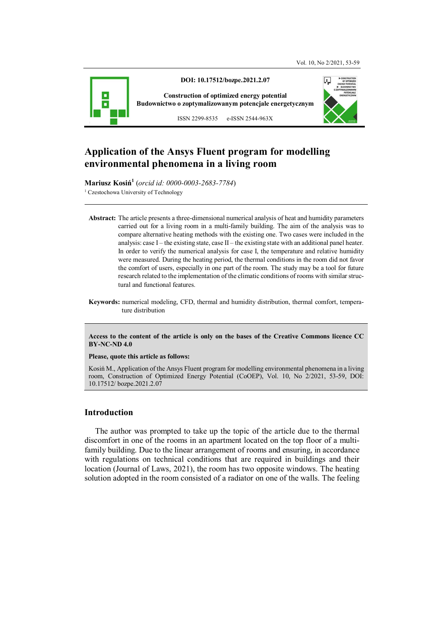

# **Application of the Ansys Fluent program for modelling environmental phenomena in a living room**

**Mariusz Kosiń<sup>1</sup>** (*orcid id: 0000-0003-2683-7784*) <sup>1</sup> Czestochowa University of Technology

- **Abstract:** The article presents a three-dimensional numerical analysis of heat and humidity parameters carried out for a living room in a multi-family building. The aim of the analysis was to compare alternative heating methods with the existing one. Two cases were included in the analysis: case  $I$  – the existing state, case  $II$  – the existing state with an additional panel heater. In order to verify the numerical analysis for case I, the temperature and relative humidity were measured. During the heating period, the thermal conditions in the room did not favor the comfort of users, especially in one part of the room. The study may be a tool for future research related to the implementation of the climatic conditions of rooms with similar structural and functional features.
- **Keywords:** numerical modeling, CFD, thermal and humidity distribution, thermal comfort, temperature distribution

**Access to the content of the article is only on the bases of the Creative Commons licence CC BY-NC-ND 4.0** 

**Please, quote this article as follows:** 

Kosiń M., Application of the Ansys Fluent program for modelling environmental phenomena in a living room, Construction of Optimized Energy Potential (CoOEP), Vol. 10, No 2/2021, 53-59, DOI: 10.17512/ bozpe.2021.2.07

### **Introduction**

The author was prompted to take up the topic of the article due to the thermal discomfort in one of the rooms in an apartment located on the top floor of a multifamily building. Due to the linear arrangement of rooms and ensuring, in accordance with regulations on technical conditions that are required in buildings and their location (Journal of Laws, 2021), the room has two opposite windows. The heating solution adopted in the room consisted of a radiator on one of the walls. The feeling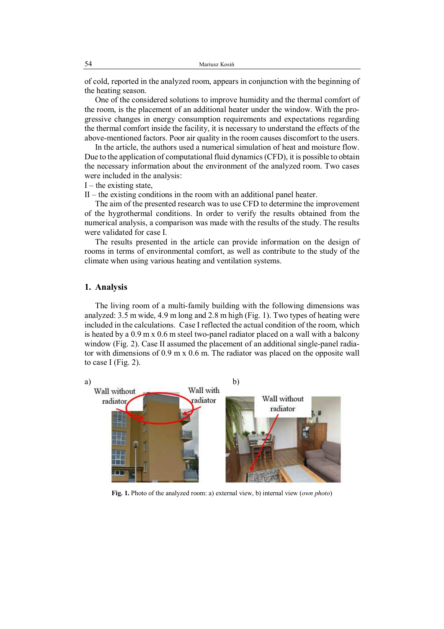of cold, reported in the analyzed room, appears in conjunction with the beginning of the heating season.

One of the considered solutions to improve humidity and the thermal comfort of the room, is the placement of an additional heater under the window. With the progressive changes in energy consumption requirements and expectations regarding the thermal comfort inside the facility, it is necessary to understand the effects of the above-mentioned factors. Poor air quality in the room causes discomfort to the users.

In the article, the authors used a numerical simulation of heat and moisture flow. Due to the application of computational fluid dynamics (CFD), it is possible to obtain the necessary information about the environment of the analyzed room. Two cases were included in the analysis:

 $I$  – the existing state,

 $II$  – the existing conditions in the room with an additional panel heater.

The aim of the presented research was to use CFD to determine the improvement of the hygrothermal conditions. In order to verify the results obtained from the numerical analysis, a comparison was made with the results of the study. The results were validated for case I.

The results presented in the article can provide information on the design of rooms in terms of environmental comfort, as well as contribute to the study of the climate when using various heating and ventilation systems.

#### **1. Analysis**

The living room of a multi-family building with the following dimensions was analyzed: 3.5 m wide, 4.9 m long and 2.8 m high (Fig. 1). Two types of heating were included in the calculations. Case I reflected the actual condition of the room, which is heated by a 0.9 m x 0.6 m steel two-panel radiator placed on a wall with a balcony window (Fig. 2). Case II assumed the placement of an additional single-panel radiator with dimensions of 0.9 m x 0.6 m. The radiator was placed on the opposite wall to case I (Fig.  $2$ ).



**Fig. 1.** Photo of the analyzed room: a) external view, b) internal view (*own photo*)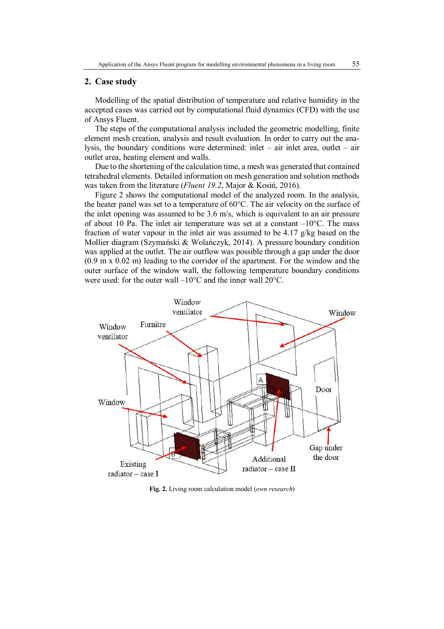#### **2. Case study**

Modelling of the spatial distribution of temperature and relative humidity in the accepted cases was carried out by computational fluid dynamics (CFD) with the use of Ansys Fluent.

The steps of the computational analysis included the geometric modelling, finite element mesh creation, analysis and result evaluation. In order to carry out the analysis, the boundary conditions were determined: inlet – air inlet area, outlet – air outlet area, heating element and walls.

Due to the shortening of the calculation time, a mesh was generated that contained tetrahedral elements. Detailed information on mesh generation and solution methods was taken from the literature (*Fluent 19.2*, Major & Kosiń, 2016).

Figure 2 shows the computational model of the analyzed room. In the analysis, the heater panel was set to a temperature of 60°C. The air velocity on the surface of the inlet opening was assumed to be 3.6 m/s, which is equivalent to an air pressure of about 10 Pa. The inlet air temperature was set at a constant  $-10^{\circ}$ C. The mass fraction of water vapour in the inlet air was assumed to be 4.17 g/kg based on the Mollier diagram (Szymański & Wolańczyk, 2014). A pressure boundary condition was applied at the outlet. The air outflow was possible through a gap under the door (0.9 m x 0.02 m) leading to the corridor of the apartment. For the window and the outer surface of the window wall, the following temperature boundary conditions were used: for the outer wall –10°C and the inner wall 20°C.



**Fig. 2.** Living room calculation model (*own research*)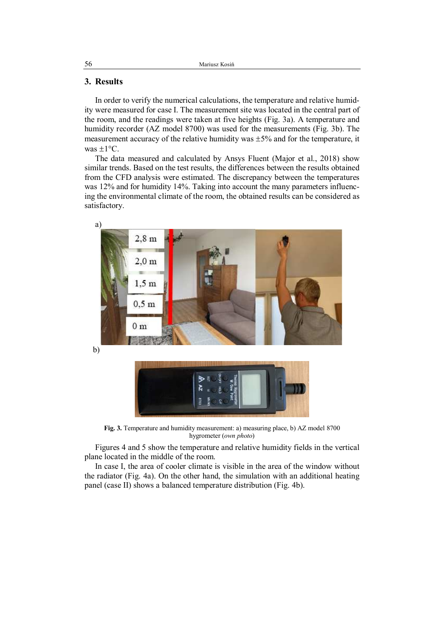### **3. Results**

In order to verify the numerical calculations, the temperature and relative humidity were measured for case I. The measurement site was located in the central part of the room, and the readings were taken at five heights (Fig. 3a). A temperature and humidity recorder (AZ model 8700) was used for the measurements (Fig. 3b). The measurement accuracy of the relative humidity was  $\pm$ 5% and for the temperature, it was  $\pm 1$ °C.

The data measured and calculated by Ansys Fluent (Major et al., 2018) show similar trends. Based on the test results, the differences between the results obtained from the CFD analysis were estimated. The discrepancy between the temperatures was 12% and for humidity 14%. Taking into account the many parameters influencing the environmental climate of the room, the obtained results can be considered as satisfactory.



**Fig. 3.** Temperature and humidity measurement: a) measuring place, b) AZ model 8700 hygrometer (*own photo*)

Figures 4 and 5 show the temperature and relative humidity fields in the vertical plane located in the middle of the room.

In case I, the area of cooler climate is visible in the area of the window without the radiator (Fig. 4a). On the other hand, the simulation with an additional heating panel (case II) shows a balanced temperature distribution (Fig. 4b).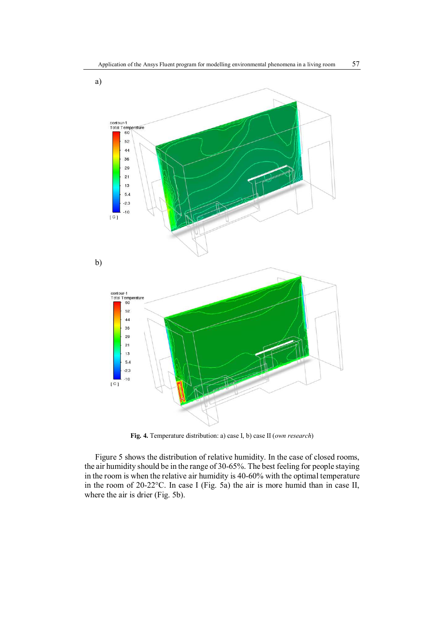

**Fig. 4.** Temperature distribution: a) case I, b) case II (*own research*)

Figure 5 shows the distribution of relative humidity. In the case of closed rooms, the air humidity should be in the range of 30-65%. The best feeling for people staying in the room is when the relative air humidity is 40-60% with the optimal temperature in the room of 20-22°C. In case I (Fig. 5a) the air is more humid than in case II, where the air is drier (Fig. 5b).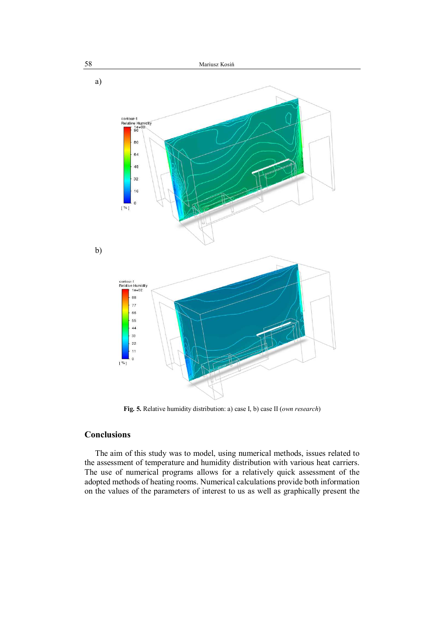

**Fig. 5.** Relative humidity distribution: a) case I, b) case II (*own research*)

## **Conclusions**

The aim of this study was to model, using numerical methods, issues related to the assessment of temperature and humidity distribution with various heat carriers. The use of numerical programs allows for a relatively quick assessment of the adopted methods of heating rooms. Numerical calculations provide both information on the values of the parameters of interest to us as well as graphically present the